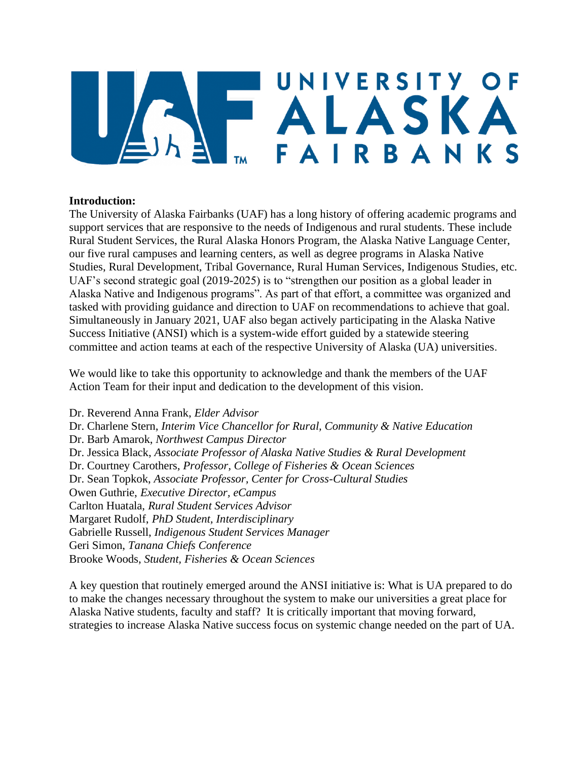# UNIVERSITY OF **EALASKA** FAIRBANKS

## **Introduction:**

The University of Alaska Fairbanks (UAF) has a long history of offering academic programs and support services that are responsive to the needs of Indigenous and rural students. These include Rural Student Services, the Rural Alaska Honors Program, the Alaska Native Language Center, our five rural campuses and learning centers, as well as degree programs in Alaska Native Studies, Rural Development, Tribal Governance, Rural Human Services, Indigenous Studies, etc. UAF's second strategic goal (2019-2025) is to "strengthen our position as a global leader in Alaska Native and Indigenous programs". As part of that effort, a committee was organized and tasked with providing guidance and direction to UAF on recommendations to achieve that goal. Simultaneously in January 2021, UAF also began actively participating in the Alaska Native Success Initiative (ANSI) which is a system-wide effort guided by a statewide steering committee and action teams at each of the respective University of Alaska (UA) universities.

We would like to take this opportunity to acknowledge and thank the members of the UAF Action Team for their input and dedication to the development of this vision.

Dr. Reverend Anna Frank, *Elder Advisor* Dr. Charlene Stern, *Interim Vice Chancellor for Rural, Community & Native Education* Dr. Barb Amarok, *Northwest Campus Director*  Dr. Jessica Black, *Associate Professor of Alaska Native Studies & Rural Development* Dr. Courtney Carothers, *Professor, College of Fisheries & Ocean Sciences*  Dr. Sean Topkok, *Associate Professor, Center for Cross-Cultural Studies* Owen Guthrie, *Executive Director, eCampus*  Carlton Huatala, *Rural Student Services Advisor* Margaret Rudolf, *PhD Student, Interdisciplinary*  Gabrielle Russell, *Indigenous Student Services Manager* Geri Simon, *Tanana Chiefs Conference* Brooke Woods, *Student, Fisheries & Ocean Sciences* 

A key question that routinely emerged around the ANSI initiative is: What is UA prepared to do to make the changes necessary throughout the system to make our universities a great place for Alaska Native students, faculty and staff? It is critically important that moving forward, strategies to increase Alaska Native success focus on systemic change needed on the part of UA.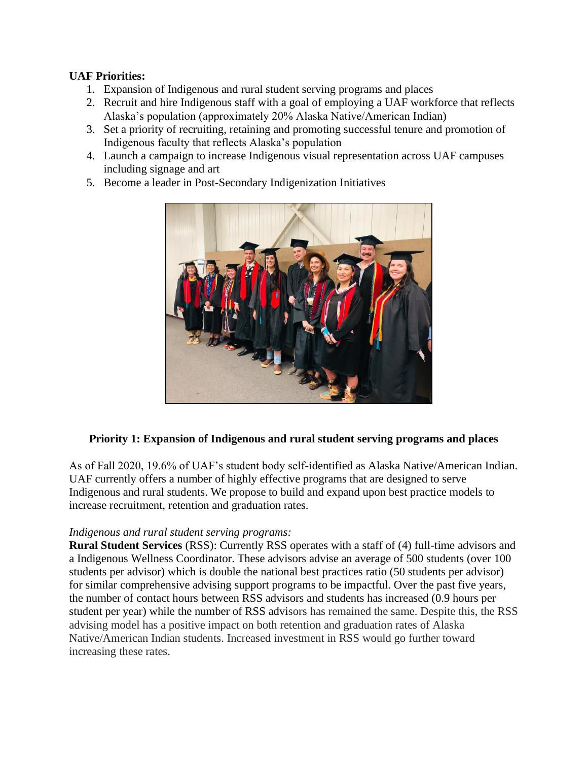## **UAF Priorities:**

- 1. Expansion of Indigenous and rural student serving programs and places
- 2. Recruit and hire Indigenous staff with a goal of employing a UAF workforce that reflects Alaska's population (approximately 20% Alaska Native/American Indian)
- 3. Set a priority of recruiting, retaining and promoting successful tenure and promotion of Indigenous faculty that reflects Alaska's population
- 4. Launch a campaign to increase Indigenous visual representation across UAF campuses including signage and art
- 5. Become a leader in Post-Secondary Indigenization Initiatives



## **Priority 1: Expansion of Indigenous and rural student serving programs and places**

As of Fall 2020, 19.6% of UAF's student body self-identified as Alaska Native/American Indian. UAF currently offers a number of highly effective programs that are designed to serve Indigenous and rural students. We propose to build and expand upon best practice models to increase recruitment, retention and graduation rates.

## *Indigenous and rural student serving programs:*

**Rural Student Services** (RSS): Currently RSS operates with a staff of (4) full-time advisors and a Indigenous Wellness Coordinator. These advisors advise an average of 500 students (over 100 students per advisor) which is double the national best practices ratio (50 students per advisor) for similar comprehensive advising support programs to be impactful. Over the past five years, the number of contact hours between RSS advisors and students has increased (0.9 hours per student per year) while the number of RSS advisors has remained the same. Despite this, the RSS advising model has a positive impact on both retention and graduation rates of Alaska Native/American Indian students. Increased investment in RSS would go further toward increasing these rates.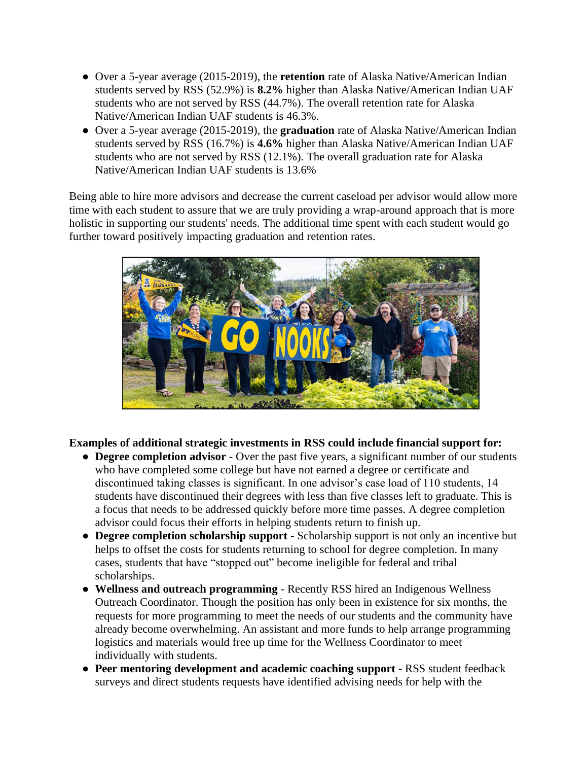- Over a 5-year average (2015-2019), the **retention** rate of Alaska Native/American Indian students served by RSS (52.9%) is **8.2%** higher than Alaska Native/American Indian UAF students who are not served by RSS (44.7%). The overall retention rate for Alaska Native/American Indian UAF students is 46.3%.
- Over a 5-year average (2015-2019), the **graduation** rate of Alaska Native/American Indian students served by RSS (16.7%) is **4.6%** higher than Alaska Native/American Indian UAF students who are not served by RSS (12.1%). The overall graduation rate for Alaska Native/American Indian UAF students is 13.6%

Being able to hire more advisors and decrease the current caseload per advisor would allow more time with each student to assure that we are truly providing a wrap-around approach that is more holistic in supporting our students' needs. The additional time spent with each student would go further toward positively impacting graduation and retention rates.



**Examples of additional strategic investments in RSS could include financial support for:** 

- **Degree completion advisor**  Over the past five years, a significant number of our students who have completed some college but have not earned a degree or certificate and discontinued taking classes is significant. In one advisor's case load of 110 students, 14 students have discontinued their degrees with less than five classes left to graduate. This is a focus that needs to be addressed quickly before more time passes. A degree completion advisor could focus their efforts in helping students return to finish up.
- **Degree completion scholarship support**  Scholarship support is not only an incentive but helps to offset the costs for students returning to school for degree completion. In many cases, students that have "stopped out" become ineligible for federal and tribal scholarships.
- **Wellness and outreach programming**  Recently RSS hired an Indigenous Wellness Outreach Coordinator. Though the position has only been in existence for six months, the requests for more programming to meet the needs of our students and the community have already become overwhelming. An assistant and more funds to help arrange programming logistics and materials would free up time for the Wellness Coordinator to meet individually with students.
- **Peer mentoring development and academic coaching support**  RSS student feedback surveys and direct students requests have identified advising needs for help with the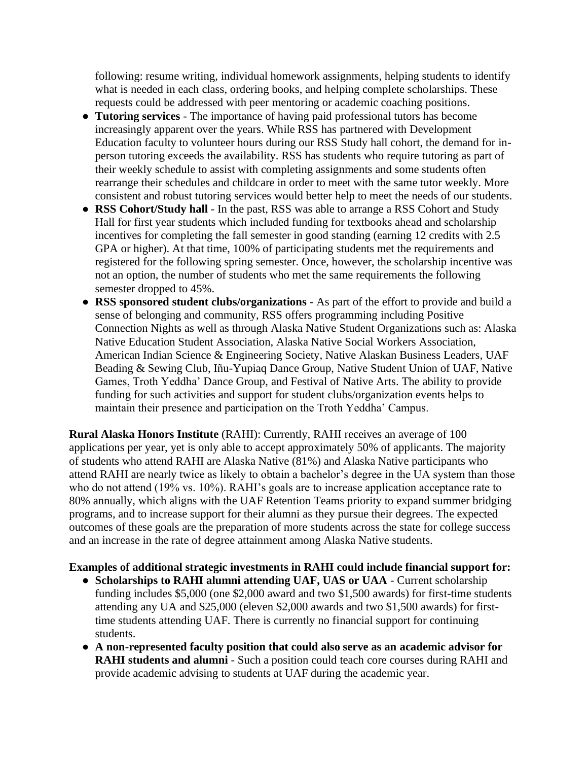following: resume writing, individual homework assignments, helping students to identify what is needed in each class, ordering books, and helping complete scholarships. These requests could be addressed with peer mentoring or academic coaching positions.

- **Tutoring services**  The importance of having paid professional tutors has become increasingly apparent over the years. While RSS has partnered with Development Education faculty to volunteer hours during our RSS Study hall cohort, the demand for inperson tutoring exceeds the availability. RSS has students who require tutoring as part of their weekly schedule to assist with completing assignments and some students often rearrange their schedules and childcare in order to meet with the same tutor weekly. More consistent and robust tutoring services would better help to meet the needs of our students.
- **RSS Cohort/Study hall** In the past, RSS was able to arrange a RSS Cohort and Study Hall for first year students which included funding for textbooks ahead and scholarship incentives for completing the fall semester in good standing (earning 12 credits with 2.5 GPA or higher). At that time, 100% of participating students met the requirements and registered for the following spring semester. Once, however, the scholarship incentive was not an option, the number of students who met the same requirements the following semester dropped to 45%.
- **RSS sponsored student clubs/organizations**  As part of the effort to provide and build a sense of belonging and community, RSS offers programming including Positive Connection Nights as well as through Alaska Native Student Organizations such as: Alaska Native Education Student Association, Alaska Native Social Workers Association, American Indian Science & Engineering Society, Native Alaskan Business Leaders, UAF Beading & Sewing Club, Iñu-Yupiaq Dance Group, Native Student Union of UAF, Native Games, Troth Yeddha' Dance Group, and Festival of Native Arts. The ability to provide funding for such activities and support for student clubs/organization events helps to maintain their presence and participation on the Troth Yeddha' Campus.

**Rural Alaska Honors Institute** (RAHI): Currently, RAHI receives an average of 100 applications per year, yet is only able to accept approximately 50% of applicants. The majority of students who attend RAHI are Alaska Native (81%) and Alaska Native participants who attend RAHI are nearly twice as likely to obtain a bachelor's degree in the UA system than those who do not attend (19% vs. 10%). RAHI's goals are to increase application acceptance rate to 80% annually, which aligns with the UAF Retention Teams priority to expand summer bridging programs, and to increase support for their alumni as they pursue their degrees. The expected outcomes of these goals are the preparation of more students across the state for college success and an increase in the rate of degree attainment among Alaska Native students.

#### **Examples of additional strategic investments in RAHI could include financial support for:**

- **Scholarships to RAHI alumni attending UAF, UAS or UAA**  Current scholarship funding includes \$5,000 (one \$2,000 award and two \$1,500 awards) for first-time students attending any UA and \$25,000 (eleven \$2,000 awards and two \$1,500 awards) for firsttime students attending UAF. There is currently no financial support for continuing students.
- **A non-represented faculty position that could also serve as an academic advisor for RAHI students and alumni** - Such a position could teach core courses during RAHI and provide academic advising to students at UAF during the academic year.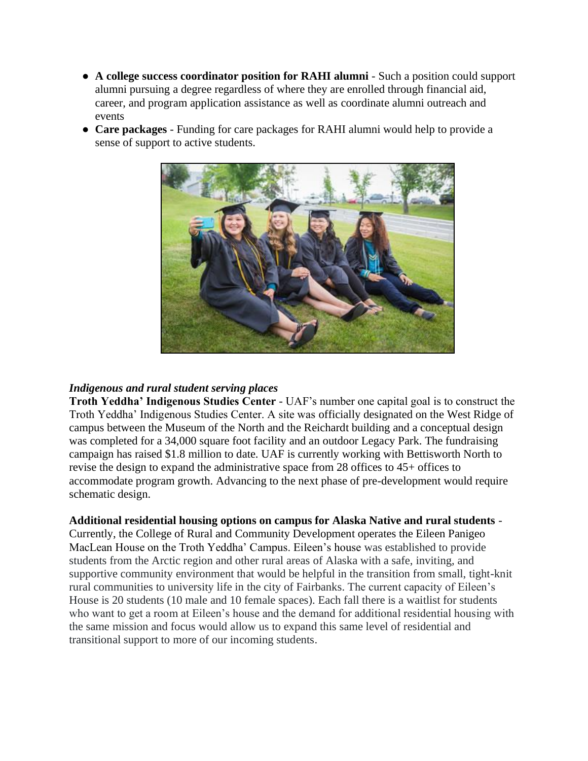- **A college success coordinator position for RAHI alumni** Such a position could support alumni pursuing a degree regardless of where they are enrolled through financial aid, career, and program application assistance as well as coordinate alumni outreach and events
- **Care packages** Funding for care packages for RAHI alumni would help to provide a sense of support to active students.



#### *Indigenous and rural student serving places*

**Troth Yeddha' Indigenous Studies Center** - UAF's number one capital goal is to construct the Troth Yeddha' Indigenous Studies Center. A site was officially designated on the West Ridge of campus between the Museum of the North and the Reichardt building and a conceptual design was completed for a 34,000 square foot facility and an outdoor Legacy Park. The fundraising campaign has raised \$1.8 million to date. UAF is currently working with Bettisworth North to revise the design to expand the administrative space from 28 offices to 45+ offices to accommodate program growth. Advancing to the next phase of pre-development would require schematic design.

**Additional residential housing options on campus for Alaska Native and rural students** -

Currently, the College of Rural and Community Development operates the Eileen Panigeo MacLean House on the Troth Yeddha' Campus. Eileen's house was established to provide students from the Arctic region and other rural areas of Alaska with a safe, inviting, and supportive community environment that would be helpful in the transition from small, tight-knit rural communities to university life in the city of Fairbanks. The current capacity of Eileen's House is 20 students (10 male and 10 female spaces). Each fall there is a waitlist for students who want to get a room at Eileen's house and the demand for additional residential housing with the same mission and focus would allow us to expand this same level of residential and transitional support to more of our incoming students.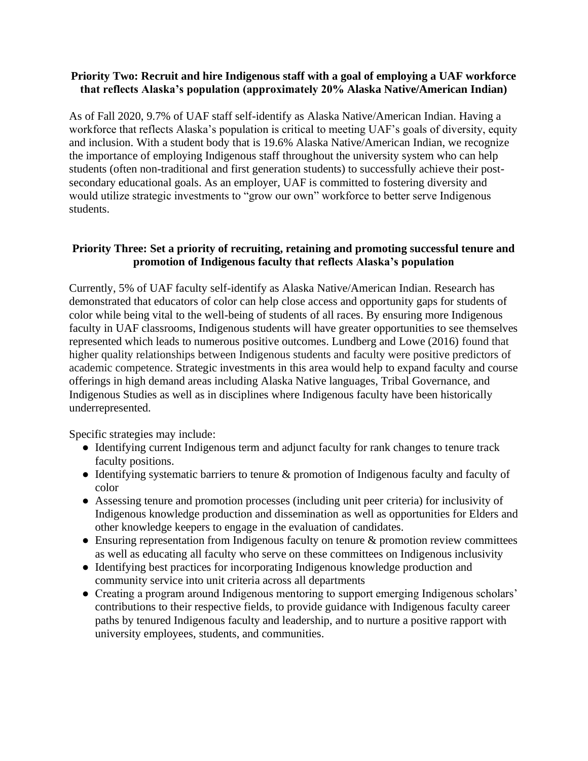#### **Priority Two: Recruit and hire Indigenous staff with a goal of employing a UAF workforce that reflects Alaska's population (approximately 20% Alaska Native/American Indian)**

As of Fall 2020, 9.7% of UAF staff self-identify as Alaska Native/American Indian. Having a workforce that reflects Alaska's population is critical to meeting UAF's goals of diversity, equity and inclusion. With a student body that is 19.6% Alaska Native/American Indian, we recognize the importance of employing Indigenous staff throughout the university system who can help students (often non-traditional and first generation students) to successfully achieve their postsecondary educational goals. As an employer, UAF is committed to fostering diversity and would utilize strategic investments to "grow our own" workforce to better serve Indigenous students.

## **Priority Three: Set a priority of recruiting, retaining and promoting successful tenure and promotion of Indigenous faculty that reflects Alaska's population**

Currently, 5% of UAF faculty self-identify as Alaska Native/American Indian. Research has demonstrated that educators of color can help close access and opportunity gaps for students of color while being vital to the well-being of students of all races. By ensuring more Indigenous faculty in UAF classrooms, Indigenous students will have greater opportunities to see themselves represented which leads to numerous positive outcomes. Lundberg and Lowe (2016) found that higher quality relationships between Indigenous students and faculty were positive predictors of academic competence. Strategic investments in this area would help to expand faculty and course offerings in high demand areas including Alaska Native languages, Tribal Governance, and Indigenous Studies as well as in disciplines where Indigenous faculty have been historically underrepresented.

Specific strategies may include:

- Identifying current Indigenous term and adjunct faculty for rank changes to tenure track faculty positions.
- Identifying systematic barriers to tenure & promotion of Indigenous faculty and faculty of color
- Assessing tenure and promotion processes (including unit peer criteria) for inclusivity of Indigenous knowledge production and dissemination as well as opportunities for Elders and other knowledge keepers to engage in the evaluation of candidates.
- Ensuring representation from Indigenous faculty on tenure & promotion review committees as well as educating all faculty who serve on these committees on Indigenous inclusivity
- Identifying best practices for incorporating Indigenous knowledge production and community service into unit criteria across all departments
- Creating a program around Indigenous mentoring to support emerging Indigenous scholars' contributions to their respective fields, to provide guidance with Indigenous faculty career paths by tenured Indigenous faculty and leadership, and to nurture a positive rapport with university employees, students, and communities.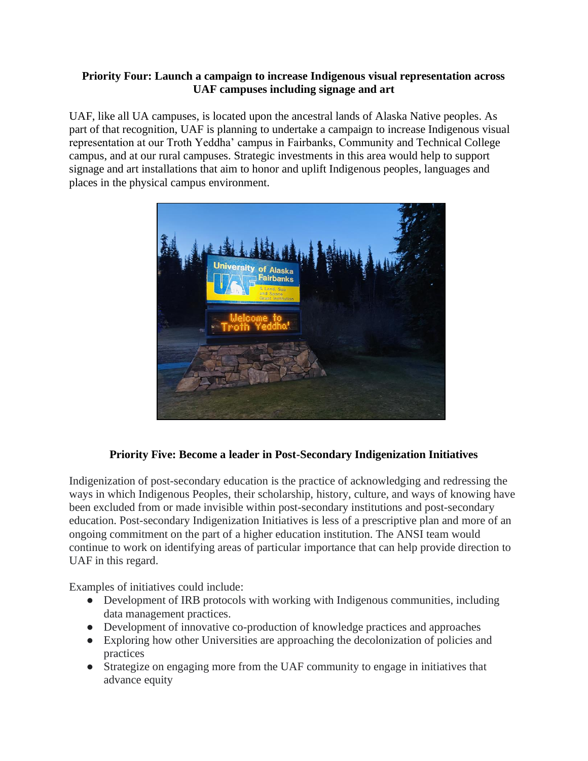### **Priority Four: Launch a campaign to increase Indigenous visual representation across UAF campuses including signage and art**

UAF, like all UA campuses, is located upon the ancestral lands of Alaska Native peoples. As part of that recognition, UAF is planning to undertake a campaign to increase Indigenous visual representation at our Troth Yeddha' campus in Fairbanks, Community and Technical College campus, and at our rural campuses. Strategic investments in this area would help to support signage and art installations that aim to honor and uplift Indigenous peoples, languages and places in the physical campus environment.



## **Priority Five: Become a leader in Post-Secondary Indigenization Initiatives**

Indigenization of post-secondary education is the practice of acknowledging and redressing the ways in which Indigenous Peoples, their scholarship, history, culture, and ways of knowing have been excluded from or made invisible within post-secondary institutions and post-secondary education. Post-secondary Indigenization Initiatives is less of a prescriptive plan and more of an ongoing commitment on the part of a higher education institution. The ANSI team would continue to work on identifying areas of particular importance that can help provide direction to UAF in this regard.

Examples of initiatives could include:

- Development of IRB protocols with working with Indigenous communities, including data management practices.
- Development of innovative co-production of knowledge practices and approaches
- Exploring how other Universities are approaching the decolonization of policies and practices
- Strategize on engaging more from the UAF community to engage in initiatives that advance equity